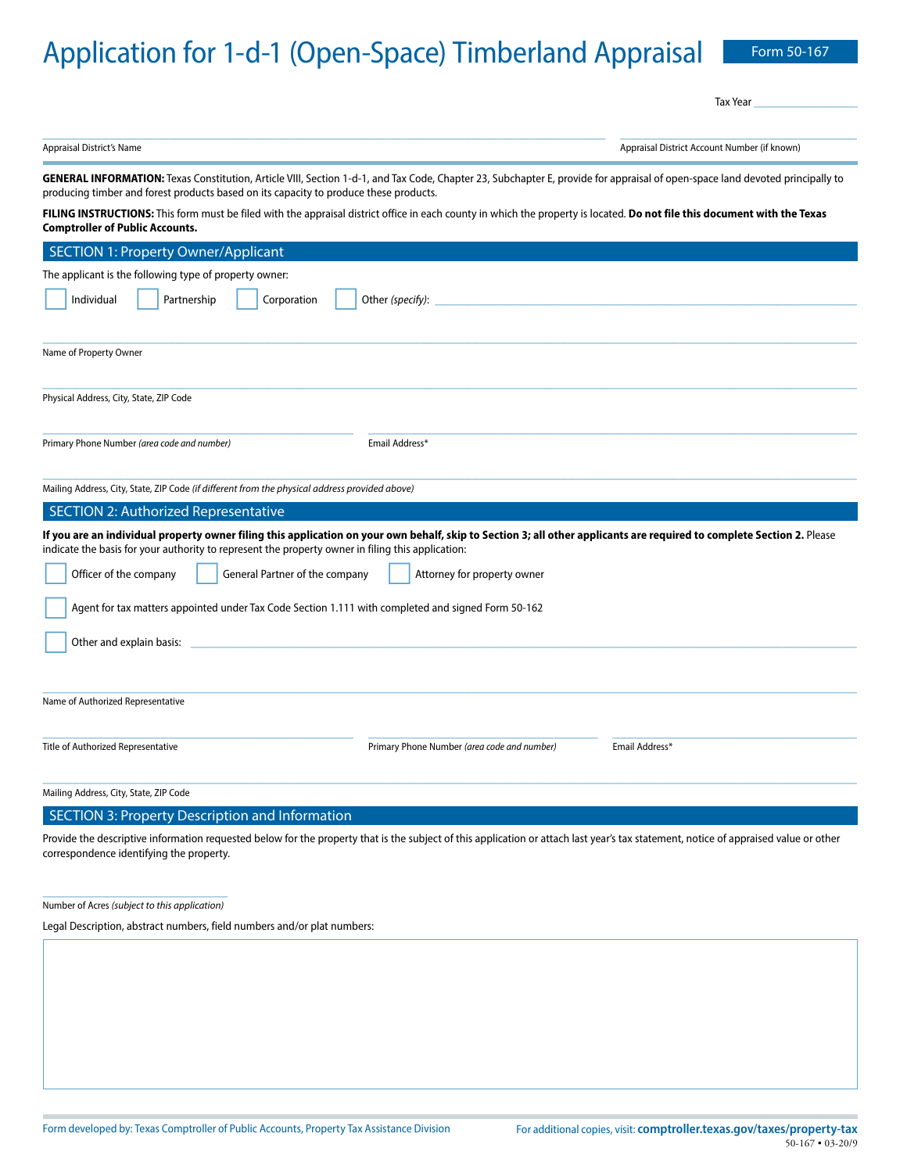# Application for 1-d-1 (Open-Space) Timberland Appraisal Form 50-167

Tax Year

| $\mathbf{A}$ . The set of $\mathbf{A}$ | $\mathbf{A}$ and $\mathbf{A}$ and $\mathbf{A}$ and $\mathbf{A}$ and $\mathbf{A}$ and $\mathbf{A}$ and $\mathbf{A}$ and $\mathbf{A}$ |
|----------------------------------------|-------------------------------------------------------------------------------------------------------------------------------------|

Appraisal District's Name Appraisal District Account Number (if known)

GENERAL INFORMATION: Texas Constitution, Article VIII, Section 1-d-1, and Tax Code, Chapter 23, Subchapter E, provide for appraisal of open-space land devoted principally to producing timber and forest products based on its capacity to produce these products.

**FILING INSTRUCTIONS:** This form must be filed with the appraisal district office in each county in which the property is located. **Do not file this document with the Texas Comptroller of Public Accounts.**

| <b>SECTION 1: Property Owner/Applicant</b>                                                                                                                                                                                                                                  |                                             |                |
|-----------------------------------------------------------------------------------------------------------------------------------------------------------------------------------------------------------------------------------------------------------------------------|---------------------------------------------|----------------|
| The applicant is the following type of property owner:                                                                                                                                                                                                                      |                                             |                |
| Individual<br>Partnership<br>Corporation                                                                                                                                                                                                                                    | Other (specify):                            |                |
|                                                                                                                                                                                                                                                                             |                                             |                |
| Name of Property Owner                                                                                                                                                                                                                                                      |                                             |                |
| Physical Address, City, State, ZIP Code                                                                                                                                                                                                                                     |                                             |                |
| Primary Phone Number (area code and number)                                                                                                                                                                                                                                 | Email Address*                              |                |
| Mailing Address, City, State, ZIP Code (if different from the physical address provided above)                                                                                                                                                                              |                                             |                |
| <b>SECTION 2: Authorized Representative</b>                                                                                                                                                                                                                                 |                                             |                |
| If you are an individual property owner filing this application on your own behalf, skip to Section 3; all other applicants are required to complete Section 2. Please<br>indicate the basis for your authority to represent the property owner in filing this application: |                                             |                |
| Officer of the company<br>General Partner of the company                                                                                                                                                                                                                    | Attorney for property owner                 |                |
| Agent for tax matters appointed under Tax Code Section 1.111 with completed and signed Form 50-162                                                                                                                                                                          |                                             |                |
| Other and explain basis:                                                                                                                                                                                                                                                    |                                             |                |
|                                                                                                                                                                                                                                                                             |                                             |                |
| Name of Authorized Representative                                                                                                                                                                                                                                           |                                             |                |
| Title of Authorized Representative                                                                                                                                                                                                                                          | Primary Phone Number (area code and number) | Email Address* |
| Mailing Address, City, State, ZIP Code                                                                                                                                                                                                                                      |                                             |                |
| $C \Gamma C \Gamma(\bigcap M) \cap \Gamma$ . Due to each a $D$ is a subset of the set of the $L$ constant one                                                                                                                                                               |                                             |                |

SECTION 3: Property Description and Information

Provide the descriptive information requested below for the property that is the subject of this application or attach last year's tax statement, notice of appraised value or other correspondence identifying the property.

\_\_\_\_\_\_\_\_\_\_\_\_\_\_\_\_\_\_\_\_\_\_\_\_\_ Number of Acres *(subject to this application)*

Legal Description, abstract numbers, field numbers and/or plat numbers: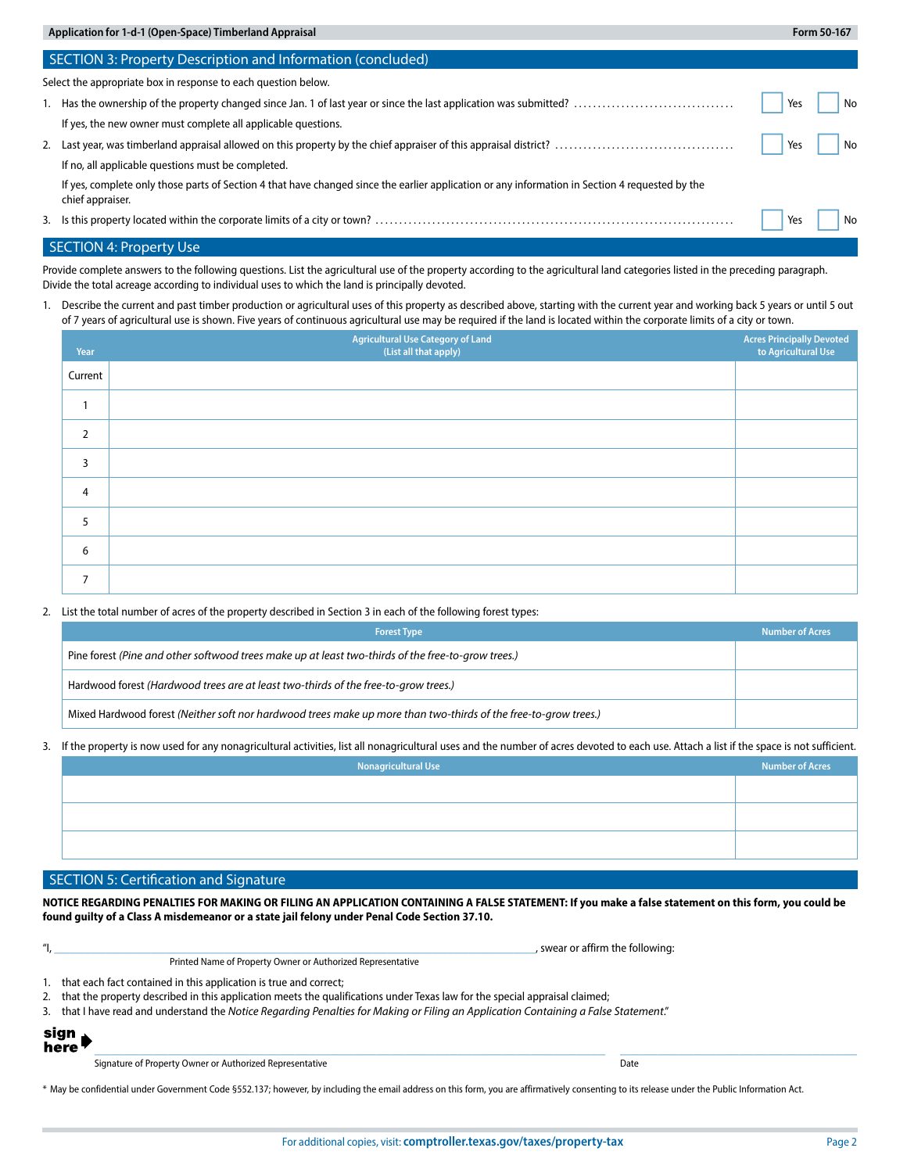| Application for 1-d-1 (Open-Space) Timberland Appraisal |                                                                                                                                                                     |     | Form 50-167 |
|---------------------------------------------------------|---------------------------------------------------------------------------------------------------------------------------------------------------------------------|-----|-------------|
|                                                         | SECTION 3: Property Description and Information (concluded)                                                                                                         |     |             |
|                                                         | Select the appropriate box in response to each question below.                                                                                                      |     |             |
|                                                         |                                                                                                                                                                     | Yes | No          |
|                                                         | If yes, the new owner must complete all applicable questions.                                                                                                       |     |             |
|                                                         |                                                                                                                                                                     | Yes | No          |
|                                                         | If no, all applicable questions must be completed.                                                                                                                  |     |             |
|                                                         | If yes, complete only those parts of Section 4 that have changed since the earlier application or any information in Section 4 requested by the<br>chief appraiser. |     |             |
|                                                         |                                                                                                                                                                     | Yes | No          |

## SECTION 4: Property Use

Provide complete answers to the following questions. List the agricultural use of the property according to the agricultural land categories listed in the preceding paragraph. Divide the total acreage according to individual uses to which the land is principally devoted.

1. Describe the current and past timber production or agricultural uses of this property as described above, starting with the current year and working back 5 years or until 5 out of 7 years of agricultural use is shown. Five years of continuous agricultural use may be required if the land is located within the corporate limits of a city or town.

| Year           | <b>Agricultural Use Category of Land</b><br>(List all that apply) | Acres Principally Devoted<br>to Agricultural Use |
|----------------|-------------------------------------------------------------------|--------------------------------------------------|
| Current        |                                                                   |                                                  |
| 1              |                                                                   |                                                  |
| $\overline{2}$ |                                                                   |                                                  |
| 3              |                                                                   |                                                  |
| $\overline{4}$ |                                                                   |                                                  |
| 5              |                                                                   |                                                  |
| 6              |                                                                   |                                                  |
| $\overline{7}$ |                                                                   |                                                  |

### 2. List the total number of acres of the property described in Section 3 in each of the following forest types:

| <b>Forest Type</b>                                                                                              | <b>Number of Acres</b> |
|-----------------------------------------------------------------------------------------------------------------|------------------------|
| Pine forest (Pine and other softwood trees make up at least two-thirds of the free-to-grow trees.)              |                        |
| Hardwood forest (Hardwood trees are at least two-thirds of the free-to-grow trees.)                             |                        |
| Mixed Hardwood forest (Neither soft nor hardwood trees make up more than two-thirds of the free-to-grow trees.) |                        |

### 3. If the property is now used for any nonagricultural activities, list all nonagricultural uses and the number of acres devoted to each use. Attach a list if the space is not sufficient.

| $\overline{\phantom{a}}$ | $\overline{\phantom{a}}$<br>$\overline{\phantom{a}}$ | $\overline{\phantom{a}}$<br>ັ |                        |
|--------------------------|------------------------------------------------------|-------------------------------|------------------------|
|                          |                                                      | Nonagricultural Use           | <b>Number of Acres</b> |
|                          |                                                      |                               |                        |
|                          |                                                      |                               |                        |
|                          |                                                      |                               |                        |
|                          |                                                      |                               |                        |
|                          |                                                      |                               |                        |
|                          |                                                      |                               |                        |
|                          |                                                      |                               |                        |

# SECTION 5: Certification and Signature

**NOTICE REGARDING PENALTIES FOR MAKING OR FILING AN APPLICATION CONTAINING A FALSE STATEMENT: If you make a false statement on this form, you could be found guilty of a Class A misdemeanor or a state jail felony under Penal Code Section 37.10.**

|    | , swear or affirm the following:                                                                                                  |
|----|-----------------------------------------------------------------------------------------------------------------------------------|
|    | Printed Name of Property Owner or Authorized Representative                                                                       |
|    | that each fact contained in this application is true and correct;                                                                 |
| 2. | that the property described in this application meets the qualifications under Texas law for the special appraisal claimed;       |
| 3. | that I have read and understand the Notice Regarding Penalties for Making or Filing an Application Containing a False Statement." |
|    |                                                                                                                                   |

sign here

Signature of Property Owner or Authorized Representative **Date** Date Date Date Date

 $\_$  , and the state of the state of the state of the state of the state of the state of the state of the state of the state of the state of the state of the state of the state of the state of the state of the state of the

\* May be confidential under Government Code §552.137; however, by including the email address on this form, you are affirmatively consenting to its release under the Public Information Act.